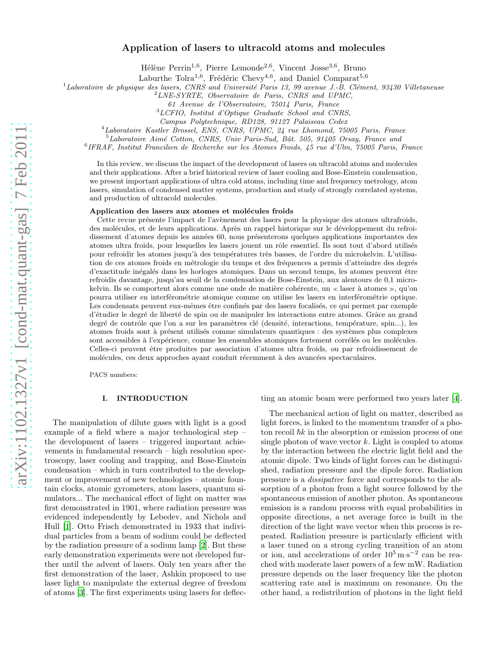# Application of lasers to ultracold atoms and molecules

Hélène Perrin<sup>1,6</sup>, Pierre Lemonde<sup>2,6</sup>, Vincent Josse<sup>3,6</sup>, Bruno

Laburthe Tolra<sup>1,6</sup>, Frédéric Chevy<sup>4,6</sup>, and Daniel Comparat<sup>5,6</sup>

 $1$ Laboratoire de physique des lasers, CNRS and Université Paris 13, 99 avenue J.-B. Clément, 93430 Villetaneuse

 $^{2}LNE-SYRTE, Observatoire de Paris, CNRS and UPMC,$ 

61 Avenue de l'Observatoire, 75014 Paris, France

<sup>3</sup>LCFIO, Institut d'Optique Graduate School and CNRS,

Campus Polytechnique, RD128, 91127 Palaiseau Cedex

<sup>4</sup>Laboratoire Kastler Brossel, ENS, CNRS, UPMC, 24 rue Lhomond, 75005 Paris, France

 $5$ Laboratoire Aimé Cotton, CNRS, Univ Paris-Sud, Bât. 505, 91405 Orsay, France and

6 IFRAF, Institut Francilien de Recherche sur les Atomes Froids, 45 rue d'Ulm, 75005 Paris, France

In this review, we discuss the impact of the development of lasers on ultracold atoms and molecules and their applications. After a brief historical review of laser cooling and Bose-Einstein condensation, we present important applications of ultra cold atoms, including time and frequency metrology, atom lasers, simulation of condensed matter systems, production and study of strongly correlated systems, and production of ultracold molecules.

#### Application des lasers aux atomes et molécules froids

Cette revue présente l'impact de l'avènement des lasers pour la physique des atomes ultrafroids, des molécules, et de leurs applications. Après un rappel historique sur le développement du refroidissement d'atomes depuis les années 60, nous présenterons quelques applications importantes des atomes ultra froids, pour lesquelles les lasers jouent un rôle essentiel. Ils sont tout d'abord utilisés pour refroidir les atomes jusqu'à des températures très basses, de l'ordre du microkelvin. L'utilisation de ces atomes froids en métrologie du temps et des fréquences a permis d'atteindre des degrés d'exactitude inégalés dans les horloges atomiques. Dans un second temps, les atomes peuvent être refroidis davantage, jusqu'au seuil de la condensation de Bose-Einstein, aux alentours de 0,1 microkelvin. Ils se comportent alors comme une onde de matière cohérente, un « laser à atomes », qu'on pourra utiliser en interférométrie atomique comme on utilise les lasers en interférométrie optique. Les condensats peuvent eux-mêmes être confinés par des lasers focalisés, ce qui permet par exemple d'étudier le degré de liberté de spin ou de manipuler les interactions entre atomes. Grâce au grand degré de contrôle que l'on a sur les paramètres clé (densité, interactions, température, spin...), les atomes froids sont à présent utilisés comme simulateurs quantiques : des systèmes plus complexes sont accessibles à l'expérience, comme les ensembles atomiques fortement corrélés ou les molécules. Celles-ci peuvent être produites par association d'atomes ultra froids, ou par refroidissement de molécules, ces deux approches ayant conduit récemment à des avancées spectaculaires.

PACS numbers:

## I. INTRODUCTION

The manipulation of dilute gases with light is a good example of a field where a major technological step – the development of lasers – triggered important achievements in fundamental research – high resolution spectroscopy, laser cooling and trapping, and Bose-Einstein condensation – which in turn contributed to the development or improvement of new technologies – atomic fountain clocks, atomic gyrometers, atom lasers, quantum simulators... The mechanical effect of light on matter was first demonstrated in 1901, where radiation pressure was evidenced independently by Lebedev, and Nichols and Hull [\[1](#page-10-0)]. Otto Frisch demonstrated in 1933 that individual particles from a beam of sodium could be deflected by the radiation pressure of a sodium lamp [\[2](#page-10-1)]. But these early demonstration experiments were not developed further until the advent of lasers. Only ten years after the first demonstration of the laser, Ashkin proposed to use laser light to manipulate the external degree of freedom of atoms [\[3](#page-10-2)]. The first experiments using lasers for deflecting an atomic beam were performed two years later [\[4\]](#page-10-3).

The mechanical action of light on matter, described as light forces, is linked to the momentum transfer of a photon recoil  $\hbar k$  in the absorption or emission process of one single photon of wave vector  $k$ . Light is coupled to atoms by the interaction between the electric light field and the atomic dipole. Two kinds of light forces can be distinguished, radiation pressure and the dipole force. Radiation pressure is a dissipative force and corresponds to the absorption of a photon from a light source followed by the spontaneous emission of another photon. As spontaneous emission is a random process with equal probabilities in opposite directions, a net average force is built in the direction of the light wave vector when this process is repeated. Radiation pressure is particularly efficient with a laser tuned on a strong cycling transition of an atom or ion, and accelerations of order  $10^5 \text{ m} \cdot \text{s}^{-2}$  can be reached with moderate laser powers of a few mW. Radiation pressure depends on the laser frequency like the photon scattering rate and is maximum on resonance. On the other hand, a redistribution of photons in the light field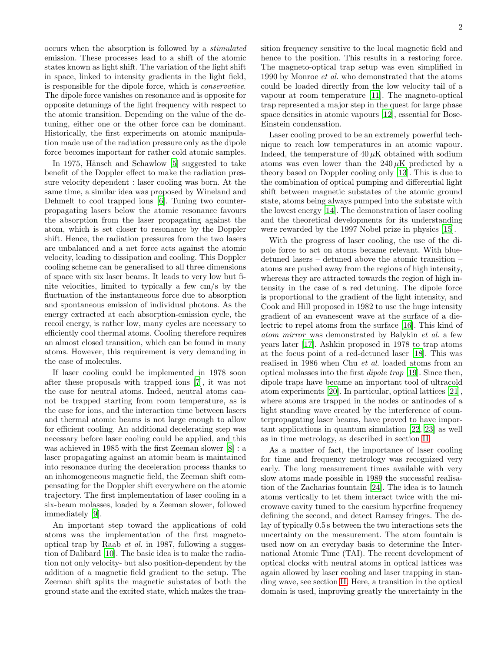occurs when the absorption is followed by a stimulated emission. These processes lead to a shift of the atomic states known as light shift. The variation of the light shift in space, linked to intensity gradients in the light field, is responsible for the dipole force, which is conservative. The dipole force vanishes on resonance and is opposite for opposite detunings of the light frequency with respect to the atomic transition. Depending on the value of the detuning, either one or the other force can be dominant. Historically, the first experiments on atomic manipulation made use of the radiation pressure only as the dipole force becomes important for rather cold atomic samples.

In 1975, Hänsch and Schawlow [\[5\]](#page-10-4) suggested to take benefit of the Doppler effect to make the radiation pressure velocity dependent : laser cooling was born. At the same time, a similar idea was proposed by Wineland and Dehmelt to cool trapped ions [\[6](#page-10-5)]. Tuning two counterpropagating lasers below the atomic resonance favours the absorption from the laser propagating against the atom, which is set closer to resonance by the Doppler shift. Hence, the radiation pressures from the two lasers are unbalanced and a net force acts against the atomic velocity, leading to dissipation and cooling. This Doppler cooling scheme can be generalised to all three dimensions of space with six laser beams. It leads to very low but finite velocities, limited to typically a few cm/s by the fluctuation of the instantaneous force due to absorption and spontaneous emission of individual photons. As the energy extracted at each absorption-emission cycle, the recoil energy, is rather low, many cycles are necessary to efficiently cool thermal atoms. Cooling therefore requires an almost closed transition, which can be found in many atoms. However, this requirement is very demanding in the case of molecules.

If laser cooling could be implemented in 1978 soon after these proposals with trapped ions [\[7\]](#page-10-6), it was not the case for neutral atoms. Indeed, neutral atoms cannot be trapped starting from room temperature, as is the case for ions, and the interaction time between lasers and thermal atomic beams is not large enough to allow for efficient cooling. An additional decelerating step was necessary before laser cooling could be applied, and this was achieved in 1985 with the first Zeeman slower [\[8](#page-10-7)] : a laser propagating against an atomic beam is maintained into resonance during the deceleration process thanks to an inhomogeneous magnetic field, the Zeeman shift compensating for the Doppler shift everywhere on the atomic trajectory. The first implementation of laser cooling in a six-beam molasses, loaded by a Zeeman slower, followed immediately [\[9\]](#page-10-8).

An important step toward the applications of cold atoms was the implementation of the first magnetooptical trap by Raab et al. in 1987, following a suggestion of Dalibard [\[10\]](#page-10-9). The basic idea is to make the radiation not only velocity- but also position-dependent by the addition of a magnetic field gradient to the setup. The Zeeman shift splits the magnetic substates of both the ground state and the excited state, which makes the transition frequency sensitive to the local magnetic field and hence to the position. This results in a restoring force. The magneto-optical trap setup was even simplified in 1990 by Monroe et al. who demonstrated that the atoms could be loaded directly from the low velocity tail of a vapour at room temperature [\[11](#page-10-10)]. The magneto-optical trap represented a major step in the quest for large phase space densities in atomic vapours [\[12](#page-10-11)], essential for Bose-Einstein condensation.

Laser cooling proved to be an extremely powerful technique to reach low temperatures in an atomic vapour. Indeed, the temperature of  $40 \mu K$  obtained with sodium atoms was even lower than the  $240 \mu K$  predicted by a theory based on Doppler cooling only [\[13](#page-10-12)]. This is due to the combination of optical pumping and differential light shift between magnetic substates of the atomic ground state, atoms being always pumped into the substate with the lowest energy [\[14\]](#page-10-13). The demonstration of laser cooling and the theoretical developments for its understanding were rewarded by the 1997 Nobel prize in physics [\[15](#page-10-14)].

With the progress of laser cooling, the use of the dipole force to act on atoms became relevant. With bluedetuned lasers – detuned above the atomic transition – atoms are pushed away from the regions of high intensity, whereas they are attracted towards the region of high intensity in the case of a red detuning. The dipole force is proportional to the gradient of the light intensity, and Cook and Hill proposed in 1982 to use the huge intensity gradient of an evanescent wave at the surface of a dielectric to repel atoms from the surface [\[16](#page-10-15)]. This kind of atom mirror was demonstrated by Balykin et al. a few years later [\[17](#page-10-16)]. Ashkin proposed in 1978 to trap atoms at the focus point of a red-detuned laser [\[18\]](#page-10-17). This was realised in 1986 when Chu et al. loaded atoms from an optical molasses into the first dipole trap [\[19](#page-10-18)]. Since then, dipole traps have became an important tool of ultracold atom experiments [\[20\]](#page-10-19). In particular, optical lattices [\[21\]](#page-10-20), where atoms are trapped in the nodes or antinodes of a light standing wave created by the interference of counterpropagating laser beams, have proved to have important applications in quantum simulation [\[22,](#page-10-21) [23](#page-10-22)] as well as in time metrology, as described in section [II.](#page-2-0)

As a matter of fact, the importance of laser cooling for time and frequency metrology was recognized very early. The long measurement times available with very slow atoms made possible in 1989 the successful realisation of the Zacharias fountain [\[24\]](#page-10-23). The idea is to launch atoms vertically to let them interact twice with the microwave cavity tuned to the caesium hyperfine frequency defining the second, and detect Ramsey fringes. The delay of typically 0.5 s between the two interactions sets the uncertainty on the measurement. The atom fountain is used now on an everyday basis to determine the International Atomic Time (TAI). The recent development of optical clocks with neutral atoms in optical lattices was again allowed by laser cooling and laser trapping in standing wave, see section [II.](#page-2-0) Here, a transition in the optical domain is used, improving greatly the uncertainty in the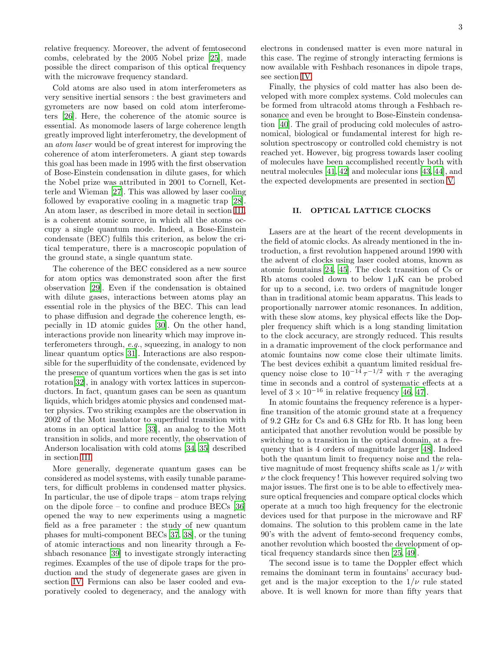relative frequency. Moreover, the advent of femtosecond combs, celebrated by the 2005 Nobel prize [\[25\]](#page-10-24), made possible the direct comparison of this optical frequency with the microwave frequency standard.

Cold atoms are also used in atom interferometers as very sensitive inertial sensors : the best gravimeters and gyrometers are now based on cold atom interferometers [\[26](#page-10-25)]. Here, the coherence of the atomic source is essential. As monomode lasers of large coherence length greatly improved light interferometry, the development of an atom laser would be of great interest for improving the coherence of atom interferometers. A giant step towards this goal has been made in 1995 with the first observation of Bose-Einstein condensation in dilute gases, for which the Nobel prize was attributed in 2001 to Cornell, Ketterle and Wieman [\[27](#page-10-26)]. This was allowed by laser cooling followed by evaporative cooling in a magnetic trap [\[28\]](#page-10-27). An atom laser, as described in more detail in section [III,](#page-4-0) is a coherent atomic source, in which all the atoms occupy a single quantum mode. Indeed, a Bose-Einstein condensate (BEC) fulfils this criterion, as below the critical temperature, there is a macroscopic population of the ground state, a single quantum state.

The coherence of the BEC considered as a new source for atom optics was demonstrated soon after the first observation [\[29](#page-10-28)]. Even if the condensation is obtained with dilute gases, interactions between atoms play an essential role in the physics of the BEC. This can lead to phase diffusion and degrade the coherence length, especially in 1D atomic guides [\[30\]](#page-10-29). On the other hand, interactions provide non linearity which may improve interferometers through, e.g., squeezing, in analogy to non linear quantum optics [\[31\]](#page-10-30). Interactions are also responsible for the superfluidity of the condensate, evidenced by the presence of quantum vortices when the gas is set into rotation[\[32\]](#page-10-31), in analogy with vortex lattices in superconductors. In fact, quantum gases can be seen as quantum liquids, which bridges atomic physics and condensed matter physics. Two striking examples are the observation in 2002 of the Mott insulator to superfluid transition with atoms in an optical lattice [\[33](#page-10-32)], an analog to the Mott transition in solids, and more recently, the observation of Anderson localisation with cold atoms [\[34,](#page-10-33) [35](#page-10-34)] described in section [III.](#page-4-0)

More generally, degenerate quantum gases can be considered as model systems, with easily tunable parameters, for difficult problems in condensed matter physics. In particular, the use of dipole traps – atom traps relying on the dipole force – to confine and produce BECs [\[36](#page-10-35)] opened the way to new experiments using a magnetic field as a free parameter : the study of new quantum phases for multi-component BECs [\[37](#page-10-36), [38](#page-10-37)], or the tuning of atomic interactions and non linearity through a Feshbach resonance [\[39](#page-10-38)] to investigate strongly interacting regimes. Examples of the use of dipole traps for the production and the study of degenerate gases are given in section [IV.](#page-5-0) Fermions can also be laser cooled and evaporatively cooled to degeneracy, and the analogy with electrons in condensed matter is even more natural in this case. The regime of strongly interacting fermions is now available with Feshbach resonances in dipole traps, see section [IV.](#page-5-0)

Finally, the physics of cold matter has also been developed with more complex systems. Cold molecules can be formed from ultracold atoms through a Feshbach resonance and even be brought to Bose-Einstein condensation [\[40](#page-10-39)]. The grail of producing cold molecules of astronomical, biological or fundamental interest for high resolution spectroscopy or controlled cold chemistry is not reached yet. However, big progress towards laser cooling of molecules have been accomplished recently both with neutral molecules [\[41](#page-10-40), [42\]](#page-10-41) and molecular ions [\[43,](#page-10-42) [44](#page-10-43)], and the expected developments are presented in section [V.](#page-8-0)

### <span id="page-2-0"></span>II. OPTICAL LATTICE CLOCKS

Lasers are at the heart of the recent developments in the field of atomic clocks. As already mentioned in the introduction, a first revolution happened around 1990 with the advent of clocks using laser cooled atoms, known as atomic fountains [\[24,](#page-10-23) [45\]](#page-10-44). The clock transition of Cs or Rb atoms cooled down to below  $1 \mu$ K can be probed for up to a second, i.e. two orders of magnitude longer than in traditional atomic beam apparatus. This leads to proportionally narrower atomic resonances. In addition, with these slow atoms, key physical effects like the Doppler frequency shift which is a long standing limitation to the clock accuracy, are strongly reduced. This results in a dramatic improvement of the clock performance and atomic fountains now come close their ultimate limits. The best devices exhibit a quantum limited residual frequency noise close to  $10^{-14} \tau^{-1/2}$  with  $\tau$  the averaging time in seconds and a control of systematic effects at a level of  $3 \times 10^{-16}$  in relative frequency [\[46,](#page-10-45) [47\]](#page-10-46).

In atomic fountains the frequency reference is a hyperfine transition of the atomic ground state at a frequency of 9.2 GHz for Cs and 6.8 GHz for Rb. It has long been anticipated that another revolution would be possible by switching to a transition in the optical domain, at a frequency that is 4 orders of magnitude larger [\[48\]](#page-10-47). Indeed both the quantum limit to frequency noise and the relative magnitude of most frequency shifts scale as  $1/\nu$  with  $\nu$  the clock frequency! This however required solving two major issues. The first one is to be able to effectively measure optical frequencies and compare optical clocks which operate at a much too high frequency for the electronic devices used for that purpose in the microwave and RF domains. The solution to this problem came in the late 90's with the advent of femto-second frequency combs, another revolution which boosted the development of optical frequency standards since then [\[25](#page-10-24), [49\]](#page-10-48).

The second issue is to tame the Doppler effect which remains the dominant term in fountains' accuracy budget and is the major exception to the  $1/\nu$  rule stated above. It is well known for more than fifty years that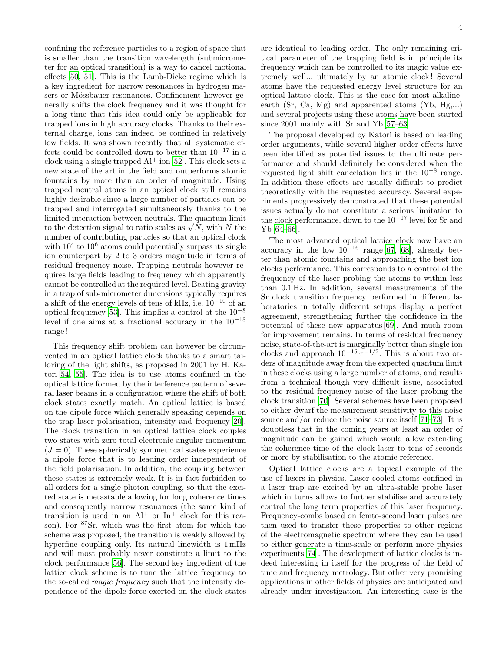confining the reference particles to a region of space that is smaller than the transition wavelength (submicrometer for an optical transition) is a way to cancel motional effects [\[50](#page-10-49), [51](#page-10-50)]. This is the Lamb-Dicke regime which is a key ingredient for narrow resonances in hydrogen masers or Mössbauer resonances. Confinement however generally shifts the clock frequency and it was thought for a long time that this idea could only be applicable for trapped ions in high accuracy clocks. Thanks to their external charge, ions can indeed be confined in relatively low fields. It was shown recently that all systematic effects could be controlled down to better than  $10^{-17}$  in a clock using a single trapped  $Al^+$  ion [\[52](#page-10-51)]. This clock sets a new state of the art in the field and outperforms atomic fountains by more than an order of magnitude. Using trapped neutral atoms in an optical clock still remains highly desirable since a large number of particles can be trapped and interrogated simultaneously thanks to the limited interaction between neutrals. The quantum limit to the detection signal to ratio scales as  $\sqrt{N}$ , with N the number of contributing particles so that an optical clock with  $10^4$  to  $10^6$  atoms could potentially surpass its single ion counterpart by 2 to 3 orders magnitude in terms of residual frequency noise. Trapping neutrals however requires large fields leading to frequency which apparently cannot be controlled at the required level. Beating gravity in a trap of sub-micrometer dimensions typically requires a shift of the energy levels of tens of kHz, i.e. 10<sup>−</sup><sup>10</sup> of an optical frequency [\[53\]](#page-10-52). This implies a control at the 10<sup>−</sup><sup>8</sup> level if one aims at a fractional accuracy in the 10<sup>−</sup><sup>18</sup> range !

This frequency shift problem can however be circumvented in an optical lattice clock thanks to a smart tailoring of the light shifts, as proposed in 2001 by H. Katori [\[54,](#page-10-53) [55\]](#page-10-54). The idea is to use atoms confined in the optical lattice formed by the interference pattern of several laser beams in a configuration where the shift of both clock states exactly match. An optical lattice is based on the dipole force which generally speaking depends on the trap laser polarisation, intensity and frequency [\[20\]](#page-10-19). The clock transition in an optical lattice clock couples two states with zero total electronic angular momentum  $(J = 0)$ . These spherically symmetrical states experience a dipole force that is to leading order independent of the field polarisation. In addition, the coupling between these states is extremely weak. It is in fact forbidden to all orders for a single photon coupling, so that the excited state is metastable allowing for long coherence times and consequently narrow resonances (the same kind of transition is used in an  $Al^+$  or  $In^+$  clock for this reason). For <sup>87</sup>Sr, which was the first atom for which the scheme was proposed, the transition is weakly allowed by hyperfine coupling only. Its natural linewidth is 1 mHz and will most probably never constitute a limit to the clock performance [\[56](#page-10-55)]. The second key ingredient of the lattice clock scheme is to tune the lattice frequency to the so-called magic frequency such that the intensity dependence of the dipole force exerted on the clock states are identical to leading order. The only remaining critical parameter of the trapping field is in principle its frequency which can be controlled to its magic value extremely well... ultimately by an atomic clock ! Several atoms have the requested energy level structure for an optical lattice clock. This is the case for most alkalineearth (Sr, Ca, Mg) and apparented atoms (Yb, Hg,...) and several projects using these atoms have been started since 2001 mainly with Sr and Yb [\[57](#page-10-56)[–63\]](#page-10-57).

The proposal developed by Katori is based on leading order arguments, while several higher order effects have been identified as potential issues to the ultimate performance and should definitely be considered when the requested light shift cancelation lies in the 10−<sup>8</sup> range. In addition these effects are usually difficult to predict theoretically with the requested accuracy. Several experiments progressively demonstrated that these potential issues actually do not constitute a serious limitation to the clock performance, down to the  $10^{-17}$  level for Sr and Yb [\[64](#page-10-58)[–66\]](#page-10-59).

The most advanced optical lattice clock now have an accuracy in the low  $10^{-16}$  range [\[67,](#page-10-60) [68](#page-10-61)], already better than atomic fountains and approaching the best ion clocks performance. This corresponds to a control of the frequency of the laser probing the atoms to within less than 0.1 Hz. In addition, several measurements of the Sr clock transition frequency performed in different laboratories in totally different setups display a perfect agreement, strengthening further the confidence in the potential of these new apparatus [\[69\]](#page-10-62). And much room for improvement remains. In terms of residual frequency noise, state-of-the-art is marginally better than single ion clocks and approach  $10^{-15} \tau^{-1/2}$ . This is about two orders of magnitude away from the expected quantum limit in these clocks using a large number of atoms, and results from a technical though very difficult issue, associated to the residual frequency noise of the laser probing the clock transition [\[70](#page-10-63)]. Several schemes have been proposed to either dwarf the measurement sensitivity to this noise source and/or reduce the noise source itself [\[71](#page-10-64)[–73\]](#page-10-65). It is doubtless that in the coming years at least an order of magnitude can be gained which would allow extending the coherence time of the clock laser to tens of seconds or more by stabilisation to the atomic reference.

Optical lattice clocks are a topical example of the use of lasers in physics. Laser cooled atoms confined in a laser trap are excited by an ultra-stable probe laser which in turns allows to further stabilise and accurately control the long term properties of this laser frequency. Frequency-combs based on femto-second laser pulses are then used to transfer these properties to other regions of the electromagnetic spectrum where they can be used to either generate a time-scale or perform more physics experiments [\[74\]](#page-10-66). The development of lattice clocks is indeed interesting in itself for the progress of the field of time and frequency metrology. But other very promising applications in other fields of physics are anticipated and already under investigation. An interesting case is the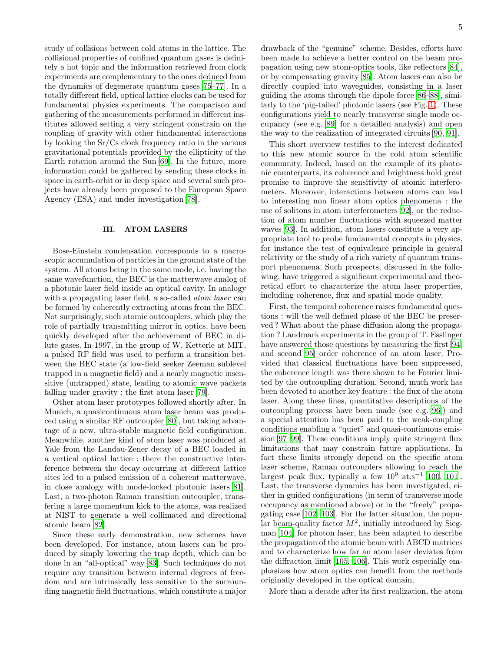study of collisions between cold atoms in the lattice. The collisional properties of confined quantum gases is definitely a hot topic and the information retrieved from clock experiments are complementary to the ones deduced from the dynamics of degenerate quantum gases [\[75](#page-10-67)[–77](#page-10-68)]. In a totally different field, optical lattice clocks can be used for fundamental physics experiments. The comparison and gathering of the measurements performed in different institutes allowed setting a very stringent constrain on the coupling of gravity with other fundamental interactions by looking the Sr/Cs clock frequency ratio in the various gravitational potentials provided by the ellipticity of the Earth rotation around the Sun [\[69\]](#page-10-62). In the future, more information could be gathered by sending these clocks in space in earth-orbit or in deep space and several such projects have already been proposed to the European Space Agency (ESA) and under investigation [\[78](#page-10-69)].

### <span id="page-4-0"></span>III. ATOM LASERS

Bose-Einstein condensation corresponds to a macroscopic accumulation of particles in the ground state of the system. All atoms being in the same mode, i.e. having the same wavefunction, the BEC is the matterwave analog of a photonic laser field inside an optical cavity. In analogy with a propagating laser field, a so-called *atom laser* can be formed by coherently extracting atoms from the BEC. Not surprisingly, such atomic outcouplers, which play the role of partially transmitting mirror in optics, have been quickly developed after the achievement of BEC in dilute gases. In 1997, in the group of W. Ketterle at MIT, a pulsed RF field was used to perform a transition between the BEC state (a low-field seeker Zeeman sublevel trapped in a magnetic field) and a nearly magnetic insensitive (untrapped) state, leading to atomic wave packets falling under gravity : the first atom laser [79].

Other atom laser prototypes followed shortly after. In Munich, a quasicontinuous atom laser beam was produced using a similar RF outcoupler [80], but taking advantage of a new, ultra-stable magnetic field configuration. Meanwhile, another kind of atom laser was produced at Yale from the Landau-Zener decay of a BEC loaded in a vertical optical lattice : there the constructive interference between the decay occurring at different lattice sites led to a pulsed emission of a coherent matterwave, in close analogy with mode-locked photonic lasers [81]. Last, a two-photon Raman transition outcoupler, transfering a large momentum kick to the atoms, was realized at NIST to generate a well collimated and directional atomic beam [82].

Since these early demonstration, new schemes have been developed. For instance, atom lasers can be produced by simply lowering the trap depth, which can be done in an "all-optical" way [83]. Such techniques do not require any transition between internal degrees of freedom and are intrinsically less sensitive to the surrounding magnetic field fluctuations, which constitute a major drawback of the "genuine" scheme. Besides, efforts have been made to achieve a better control on the beam propagation using new atom-optics tools, like reflectors [\[84\]](#page-10-70), or by compensating gravity[85]. Atom lasers can also be directly coupled into waveguides, consisting in a laser guiding the atoms through the dipole force [86–88], similarly to the 'pig-tailed' photonic lasers (see Fig. [1\)](#page-5-1). These configurations yield to nearly transverse single mode occupancy (see e.g. [89] for a detailled analysis) and open the way to the realization of integrated circuits [90, 91].

This short overview testifies to the interest dedicated to this new atomic source in the cold atom scientific community. Indeed, based on the example of its photonic counterparts, its coherence and brightness hold great promise to improve the sensitivity of atomic interferometers. Moreover, interactions between atoms can lead to interesting non linear atom optics phenomena : the use of solitons in atom interferometers [\[92\]](#page-11-0), or the reduction of atom number fluctuations with squeezed matter waves [\[93\]](#page-11-1). In addition, atom lasers constitute a very appropriate tool to probe fundamental concepts in physics, for instance the test of equivalence principle in general relativity or the study of a rich variety of quantum transport phenomena. Such prospects, discussed in the following, have triggered a significant experimental and theoretical effort to characterize the atom laser properties, including coherence, flux and spatial mode quality.

First, the temporal coherence raises fundamental questions : will the well defined phase of the BEC be preserved ? What about the phase diffusion along the propagation ? Landmark experiments in the group of T. Esslinger have answered those questions by measuring the first [94] and second [95] order coherence of an atom laser. Provided that classical fluctuations have been suppressed, the coherence length was there shown to be Fourier limited by the outcoupling duration. Second, much work has been devoted to another key feature : the flux of the atom laser. Along these lines, quantitative descriptions of the outcoupling process have been made (see e.g. [96]) and a special attention has been paid to the weak-coupling conditions enabling a "quiet" and quasi-continuous emission [97–99]. These conditions imply quite stringent flux limitations that may constrain future applications. In fact these limits strongly depend on the specific atom laser scheme, Raman outcouplers allowing to reach the largest peak flux, typically a few  $10^9$  at.s<sup>-1</sup> [100, 101]. Last, the transverse dynamics has been investigated, either in guided configurations (in term of transverse mode occupancy as mentioned above) or in the "freely" propagating case [102, 103]. For the latter situation, the popular beam-quality factor  $M^2$ , initially introduced by Siegman [104] for photon laser, has been adapted to describe the propagation of the atomic beam with ABCD matrices and to characterize how far an atom laser deviates from the diffraction limit [105, 106]. This work especially emphasizes how atom optics can benefit from the methods originally developed in the optical domain.

More than a decade after its first realization, the atom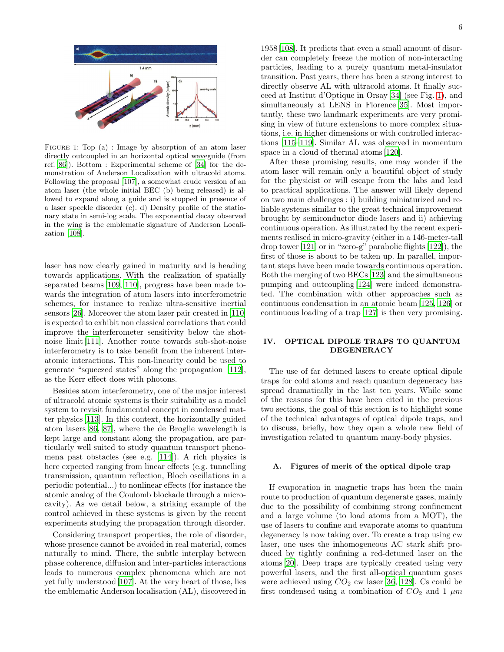

<span id="page-5-1"></span>FIGURE 1: Top (a) : Image by absorption of an atom laser directly outcoupled in an horizontal optical waveguide (from ref. [86]). Bottom : Experimental scheme of [\[34](#page-10-33)] for the demonstration of Anderson Localization with ultracold atoms. Following the proposal [107], a somewhat crude version of an atom laser (the whole initial BEC (b) being released) is allowed to expand along a guide and is stopped in presence of a laser speckle disorder (c). d) Density profile of the stationary state in semi-log scale. The exponential decay observed in the wing is the emblematic signature of Anderson Localization [108].

laser has now clearly gained in maturity and is heading towards applications. With the realization of spatially separated beams [109, 110], progress have been made towards the integration of atom lasers into interferometric schemes, for instance to realize ultra-sensitive inertial sensors [\[26\]](#page-10-25). Moreover the atom laser pair created in [110] is expected to exhibit non classical correlations that could improve the interferometer sensitivity below the shotnoise limit [111]. Another route towards sub-shot-noise interferometry is to take benefit from the inherent interatomic interactions. This non-linearity could be used to generate "squeezed states" along the propagation [112], as the Kerr effect does with photons.

Besides atom interferometry, one of the major interest of ultracold atomic systems is their suitability as a model system to revisit fundamental concept in condensed matter physics [113]. In this context, the horizontally guided atom lasers [86, 87], where the de Broglie wavelength is kept large and constant along the propagation, are particularly well suited to study quantum transport phenomena past obstacles (see e.g. [114]). A rich physics is here expected ranging from linear effects (e.g. tunnelling transmission, quantum reflection, Bloch oscillations in a periodic potential...) to nonlinear effects (for instance the atomic analog of the Coulomb blockade through a microcavity). As we detail below, a striking example of the control achieved in these systems is given by the recent experiments studying the propagation through disorder.

Considering transport properties, the role of disorder, whose presence cannot be avoided in real material, comes naturally to mind. There, the subtle interplay between phase coherence, diffusion and inter-particles interactions leads to numerous complex phenomena which are not yet fully understood [107]. At the very heart of those, lies the emblematic Anderson localisation (AL), discovered in

1958 [108]. It predicts that even a small amount of disorder can completely freeze the motion of non-interacting particles, leading to a purely quantum metal-insulator transition. Past years, there has been a strong interest to directly observe AL with ultracold atoms. It finally succeed at Institut d'Optique in Orsay [\[34](#page-10-33)] (see Fig. [1\)](#page-5-1), and simultaneously at LENS in Florence [\[35\]](#page-10-34). Most importantly, these two landmark experiments are very promising in view of future extensions to more complex situations, i.e. in higher dimensions or with controlled interactions [115–119]. Similar AL was observed in momentum space in a cloud of thermal atoms [\[120](#page-11-2)].

After these promising results, one may wonder if the atom laser will remain only a beautiful object of study for the physicist or will escape from the labs and lead to practical applications. The answer will likely depend on two main challenges : i) building miniaturized and reliable systems similar to the great technical improvement brought by semiconductor diode lasers and ii) achieving continuous operation. As illustrated by the recent experiments realised in micro-gravity (either in a 146-meter-tall drop tower [121] or in "zero-g" parabolic flights [122]), the first of those is about to be taken up. In parallel, important steps have been made towards continuous operation. Both the merging of two BECs [123] and the simultaneous pumping and outcoupling [124] were indeed demonstrated. The combination with other approaches such as continuous condensation in an atomic beam [125, 126] or continuous loading of a trap [127] is then very promising.

### <span id="page-5-0"></span>IV. OPTICAL DIPOLE TRAPS TO QUANTUM DEGENERACY

The use of far detuned lasers to create optical dipole traps for cold atoms and reach quantum degeneracy has spread dramatically in the last ten years. While some of the reasons for this have been cited in the previous two sections, the goal of this section is to highlight some of the technical advantages of optical dipole traps, and to discuss, briefly, how they open a whole new field of investigation related to quantum many-body physics.

## A. Figures of merit of the optical dipole trap

If evaporation in magnetic traps has been the main route to production of quantum degenerate gases, mainly due to the possibility of combining strong confinement and a large volume (to load atoms from a MOT), the use of lasers to confine and evaporate atoms to quantum degeneracy is now taking over. To create a trap using cw laser, one uses the inhomogeneous AC stark shift produced by tightly confining a red-detuned laser on the atoms [\[20\]](#page-10-19). Deep traps are typically created using very powerful lasers, and the first all-optical quantum gases were achieved using  $CO_2$  cw laser [\[36,](#page-10-35) [128](#page-11-3)]. Cs could be first condensed using a combination of  $CO<sub>2</sub>$  and 1  $\mu m$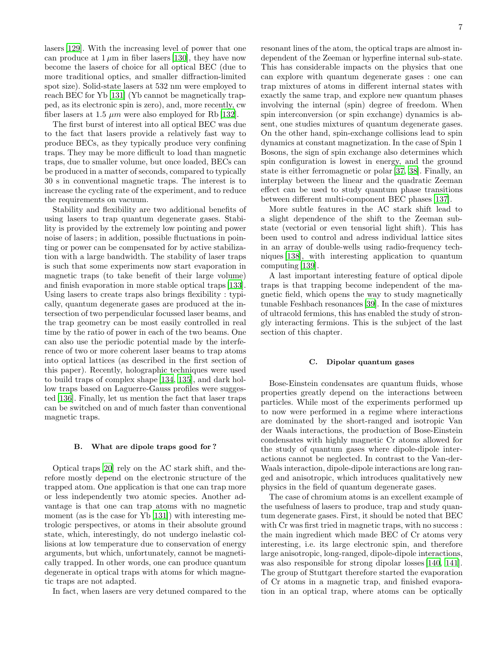lasers [\[129](#page-11-4)]. With the increasing level of power that one can produce at  $1 \mu m$  in fiber lasers [\[130\]](#page-11-5), they have now become the lasers of choice for all optical BEC (due to more traditional optics, and smaller diffraction-limited spot size). Solid-state lasers at 532 nm were employed to reach BEC for Yb [\[131](#page-11-6)] (Yb cannot be magnetically trapped, as its electronic spin is zero), and, more recently, cw fiber lasers at 1.5  $\mu$ m were also employed for Rb [\[132\]](#page-11-7).

The first burst of interest into all optical BEC was due to the fact that lasers provide a relatively fast way to produce BECs, as they typically produce very confining traps. They may be more difficult to load than magnetic traps, due to smaller volume, but once loaded, BECs can be produced in a matter of seconds, compared to typically 30 s in conventional magnetic traps. The interest is to increase the cycling rate of the experiment, and to reduce the requirements on vacuum.

Stability and flexibility are two additional benefits of using lasers to trap quantum degenerate gases. Stability is provided by the extremely low pointing and power noise of lasers ; in addition, possible fluctuations in pointing or power can be compensated for by active stabilization with a large bandwidth. The stability of laser traps is such that some experiments now start evaporation in magnetic traps (to take benefit of their large volume) and finish evaporation in more stable optical traps [\[133\]](#page-11-8). Using lasers to create traps also brings flexibility : typically, quantum degenerate gases are produced at the intersection of two perpendicular focussed laser beams, and the trap geometry can be most easily controlled in real time by the ratio of power in each of the two beams. One can also use the periodic potential made by the interference of two or more coherent laser beams to trap atoms into optical lattices (as described in the first section of this paper). Recently, holographic techniques were used to build traps of complex shape [\[134,](#page-11-9) [135\]](#page-11-10), and dark hollow traps based on Laguerre-Gauss profiles were suggested [\[136](#page-11-11)]. Finally, let us mention the fact that laser traps can be switched on and of much faster than conventional magnetic traps.

### B. What are dipole traps good for ?

Optical traps [\[20](#page-10-19)] rely on the AC stark shift, and therefore mostly depend on the electronic structure of the trapped atom. One application is that one can trap more or less independently two atomic species. Another advantage is that one can trap atoms with no magnetic moment (as is the case for Yb [\[131\]](#page-11-6)) with interesting metrologic perspectives, or atoms in their absolute ground state, which, interestingly, do not undergo inelastic collisions at low temperature due to conservation of energy arguments, but which, unfortunately, cannot be magnetically trapped. In other words, one can produce quantum degenerate in optical traps with atoms for which magnetic traps are not adapted.

In fact, when lasers are very detuned compared to the

resonant lines of the atom, the optical traps are almost independent of the Zeeman or hyperfine internal sub-state. This has considerable impacts on the physics that one can explore with quantum degenerate gases : one can trap mixtures of atoms in different internal states with exactly the same trap, and explore new quantum phases involving the internal (spin) degree of freedom. When spin interconversion (or spin exchange) dynamics is absent, one studies mixtures of quantum degenerate gases. On the other hand, spin-exchange collisions lead to spin dynamics at constant magnetization. In the case of Spin 1 Bosons, the sign of spin exchange also determines which spin configuration is lowest in energy, and the ground state is either ferromagnetic or polar [\[37](#page-10-36), [38](#page-10-37)]. Finally, an interplay between the linear and the quadratic Zeeman effect can be used to study quantum phase transitions between different multi-component BEC phases [\[137](#page-11-12)].

More subtle features in the AC stark shift lead to a slight dependence of the shift to the Zeeman substate (vectorial or even tensorial light shift). This has been used to control and adress individual lattice sites in an array of double-wells using radio-frequency techniques [\[138\]](#page-11-13), with interesting application to quantum computing [\[139](#page-11-14)].

A last important interesting feature of optical dipole traps is that trapping become independent of the magnetic field, which opens the way to study magnetically tunable Feshbach resonances [\[39\]](#page-10-38). In the case of mixtures of ultracold fermions, this has enabled the study of strongly interacting fermions. This is the subject of the last section of this chapter.

### C. Dipolar quantum gases

Bose-Einstein condensates are quantum fluids, whose properties greatly depend on the interactions between particles. While most of the experiments performed up to now were performed in a regime where interactions are dominated by the short-ranged and isotropic Van der Waals interactions, the production of Bose-Einstein condensates with highly magnetic Cr atoms allowed for the study of quantum gases where dipole-dipole interactions cannot be neglected. In contrast to the Van-der-Waals interaction, dipole-dipole interactions are long ranged and anisotropic, which introduces qualitatively new physics in the field of quantum degenerate gases.

The case of chromium atoms is an excellent example of the usefulness of lasers to produce, trap and study quantum degenerate gases. First, it should be noted that BEC with Cr was first tried in magnetic traps, with no success : the main ingredient which made BEC of Cr atoms very interesting, i.e. its large electronic spin, and therefore large anisotropic, long-ranged, dipole-dipole interactions, was also responsible for strong dipolar losses [\[140,](#page-11-15) [141\]](#page-11-16). The group of Stuttgart therefore started the evaporation of Cr atoms in a magnetic trap, and finished evaporation in an optical trap, where atoms can be optically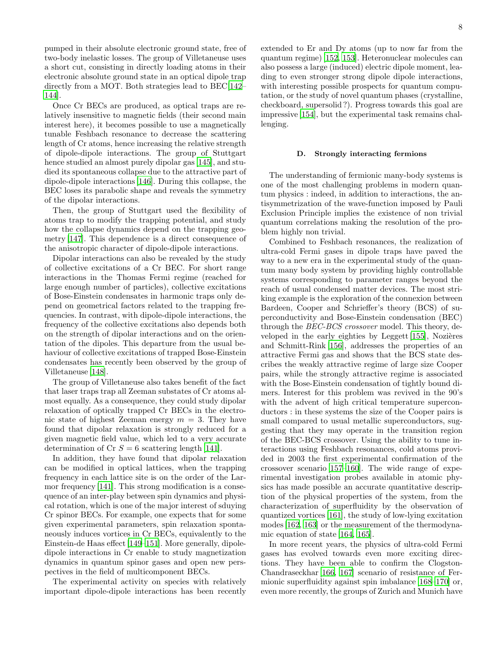pumped in their absolute electronic ground state, free of two-body inelastic losses. The group of Villetaneuse uses a short cut, consisting in directly loading atoms in their electronic absolute ground state in an optical dipole trap directly from a MOT. Both strategies lead to BEC[\[142](#page-11-17)– [144\]](#page-11-18).

Once Cr BECs are produced, as optical traps are relatively insensitive to magnetic fields (their second main interest here), it becomes possible to use a magnetically tunable Feshbach resonance to decrease the scattering length of Cr atoms, hence increasing the relative strength of dipole-dipole interactions. The group of Stuttgart hence studied an almost purely dipolar gas [\[145\]](#page-11-19), and studied its spontaneous collapse due to the attractive part of dipole-dipole interactions [\[146](#page-11-20)]. During this collapse, the BEC loses its parabolic shape and reveals the symmetry of the dipolar interactions.

Then, the group of Stuttgart used the flexibility of atoms trap to modify the trapping potential, and study how the collapse dynamics depend on the trapping geometry [\[147](#page-11-21)]. This dependence is a direct consequence of the anisotropic character of dipole-dipole interactions.

Dipolar interactions can also be revealed by the study of collective excitations of a Cr BEC. For short range interactions in the Thomas Fermi regime (reached for large enough number of particles), collective excitations of Bose-Einstein condensates in harmonic traps only depend on geometrical factors related to the trapping frequencies. In contrast, with dipole-dipole interactions, the frequency of the collective excitations also depends both on the strength of dipolar interactions and on the orientation of the dipoles. This departure from the usual behaviour of collective excitations of trapped Bose-Einstein condensates has recently been observed by the group of Villetaneuse [\[148](#page-11-22)].

The group of Villetaneuse also takes benefit of the fact that laser traps trap all Zeeman substates of Cr atoms almost equally. As a consequence, they could study dipolar relaxation of optically trapped Cr BECs in the electronic state of highest Zeeman energy  $m = 3$ . They have found that dipolar relaxation is strongly reduced for a given magnetic field value, which led to a very accurate determination of Cr  $S = 6$  scattering length [\[141\]](#page-11-16).

In addition, they have found that dipolar relaxation can be modified in optical lattices, when the trapping frequency in each lattice site is on the order of the Larmor frequency [\[141\]](#page-11-16). This strong modification is a consequence of an inter-play between spin dynamics and physical rotation, which is one of the major interest of sduying Cr spinor BECs. For example, one expects that for some given experimental parameters, spin relaxation spontaneously induces vortices in Cr BECs, equivalently to the Einstein-de Haas effect [\[149](#page-11-23)[–151](#page-11-24)]. More generally, dipoledipole interactions in Cr enable to study magnetization dynamics in quantum spinor gases and open new perspectives in the field of multicomponent BECs.

The experimental activity on species with relatively important dipole-dipole interactions has been recently extended to Er and Dy atoms (up to now far from the quantum regime) [\[152,](#page-11-25) [153](#page-11-26)]. Heteronuclear molecules can also possess a large (induced) electric dipole moment, leading to even stronger strong dipole dipole interactions, with interesting possible prospects for quantum computation, or the study of novel quantum phases (crystalline, checkboard, supersolid ?). Progress towards this goal are impressive [\[154](#page-11-27)], but the experimental task remains challenging.

#### D. Strongly interacting fermions

The understanding of fermionic many-body systems is one of the most challenging problems in modern quantum physics : indeed, in addition to interactions, the antisymmetrization of the wave-function imposed by Pauli Exclusion Principle implies the existence of non trivial quantum correlations making the resolution of the problem highly non trivial.

Combined to Feshbach resonances, the realization of ultra-cold Fermi gases in dipole traps have paved the way to a new era in the experimental study of the quantum many body system by providing highly controllable systems corresponding to parameter ranges beyond the reach of usual condensed matter devices. The most striking example is the exploration of the connexion between Bardeen, Cooper and Schrieffer's theory (BCS) of superconductivity and Bose-Einstein condensation (BEC) through the BEC-BCS crossover model. This theory, developed in the early eighties by Leggett  $[155]$ , Nozières and Schmitt-Rink [\[156\]](#page-11-29), addresses the properties of an attractive Fermi gas and shows that the BCS state describes the weakly attractive regime of large size Cooper pairs, while the strongly attractive regime is associated with the Bose-Einstein condensation of tightly bound dimers. Interest for this problem was revived in the 90's with the advent of high critical temperature superconductors : in these systems the size of the Cooper pairs is small compared to usual metallic superconductors, suggesting that they may operate in the transition region of the BEC-BCS crossover. Using the ability to tune interactions using Feshbach resonances, cold atoms provided in 2003 the first experimental confirmation of the crossover scenario [\[157](#page-11-30)[–160](#page-11-31)]. The wide range of experimental investigation probes available in atomic physics has made possible an accurate quantitative description of the physical properties of the system, from the characterization of superfluidity by the observation of quantized vortices [\[161\]](#page-11-32), the study of low-lying excitation modes [\[162,](#page-11-33) [163\]](#page-11-34) or the measurement of the thermodynamic equation of state [\[164,](#page-11-35) [165\]](#page-11-36).

In more recent years, the physics of ultra-cold Fermi gases has evolved towards even more exciting directions. They have been able to confirm the Clogston-Chandraseckhar [\[166](#page-11-37), [167](#page-11-38)] scenario of resistance of Fermionic superfluidity against spin imbalance [\[168](#page-11-39)[–170\]](#page-11-40) or, even more recently, the groups of Zurich and Munich have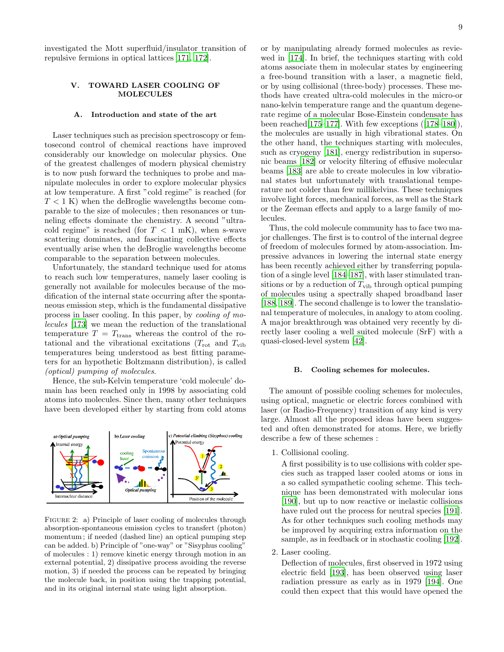investigated the Mott superfluid/insulator transition of repulsive fermions in optical lattices [\[171,](#page-11-41) [172\]](#page-11-42).

### <span id="page-8-0"></span>V. TOWARD LASER COOLING OF MOLECULES

#### A. Introduction and state of the art

Laser techniques such as precision spectroscopy or femtosecond control of chemical reactions have improved considerably our knowledge on molecular physics. One of the greatest challenges of modern physical chemistry is to now push forward the techniques to probe and manipulate molecules in order to explore molecular physics at low temperature. A first "cold regime" is reached (for  $T < 1$  K) when the deBroglie wavelengths become comparable to the size of molecules ; then resonances or tunneling effects dominate the chemistry. A second "ultracold regime" is reached (for  $T < 1$  mK), when s-wave scattering dominates, and fascinating collective effects eventually arise when the deBroglie wavelengths become comparable to the separation between molecules.

Unfortunately, the standard technique used for atoms to reach such low temperatures, namely laser cooling is generally not available for molecules because of the modification of the internal state occurring after the spontaneous emission step, which is the fundamental dissipative process in laser cooling. In this paper, by cooling of molecules [\[173](#page-11-43)] we mean the reduction of the translational temperature  $T = T_{trans}$  whereas the control of the rotational and the vibrational excitations ( $T_{\rm rot}$  and  $T_{\rm vib}$ ) temperatures being understood as best fitting parameters for an hypothetic Boltzmann distribution), is called (optical) pumping of molecules.

Hence, the sub-Kelvin temperature 'cold molecule' domain has been reached only in 1998 by associating cold atoms into molecules. Since then, many other techniques have been developed either by starting from cold atoms



<span id="page-8-1"></span>FIGURE 2: a) Principle of laser cooling of molecules through absorption-spontaneous emission cycles to transfert (photon) momentum ; if needed (dashed line) an optical pumping step can be added. b) Principle of "one-way" or "Sisyphus cooling" of molecules : 1) remove kinetic energy through motion in an external potential, 2) dissipative process avoiding the reverse motion, 3) if needed the process can be repeated by bringing the molecule back, in position using the trapping potential, and in its original internal state using light absorption.

or by manipulating already formed molecules as reviewed in [\[174\]](#page-11-44). In brief, the techniques starting with cold atoms associate them in molecular states by engineering a free-bound transition with a laser, a magnetic field, or by using collisional (three-body) processes. These methods have created ultra-cold molecules in the micro-or nano-kelvin temperature range and the quantum degenerate regime of a molecular Bose-Einstein condensate has been reached  $[175-177]$  $[175-177]$ . With few exceptions  $([178-180])$  $([178-180])$  $([178-180])$ , the molecules are usually in high vibrational states. On the other hand, the techniques starting with molecules, such as cryogeny [\[181](#page-11-49)], energy redistribution in supersonic beams [\[182\]](#page-11-50) or velocity filtering of effusive molecular beams [\[183\]](#page-11-51) are able to create molecules in low vibrational states but unfortunately with translational temperature not colder than few millikelvins. These techniques involve light forces, mechanical forces, as well as the Stark or the Zeeman effects and apply to a large family of molecules.

Thus, the cold molecule community has to face two major challenges. The first is to control of the internal degree of freedom of molecules formed by atom-association. Impressive advances in lowering the internal state energy has been recently achieved either by transferring population of a single level [\[184–](#page-11-52)[187\]](#page-12-0), with laser stimulated transitions or by a reduction of  $T_{\rm vib}$  through optical pumping of molecules using a spectrally shaped broadband laser [\[188,](#page-12-1) [189\]](#page-12-2). The second challenge is to lower the translational temperature of molecules, in analogy to atom cooling. A major breakthrough was obtained very recently by directly laser cooling a well suited molecule (SrF) with a quasi-closed-level system [\[42\]](#page-10-41).

### B. Cooling schemes for molecules.

The amount of possible cooling schemes for molecules, using optical, magnetic or electric forces combined with laser (or Radio-Frequency) transition of any kind is very large. Almost all the proposed ideas have been suggested and often demonstrated for atoms. Here, we briefly describe a few of these schemes :

1. Collisional cooling.

A first possibility is to use collisions with colder species such as trapped laser cooled atoms or ions in a so called sympathetic cooling scheme. This technique has been demonstrated with molecular ions [\[190\]](#page-12-3), but up to now reactive or inelastic collisions have ruled out the process for neutral species [\[191\]](#page-12-4). As for other techniques such cooling methods may be improved by acquiring extra information on the sample, as in feedback or in stochastic cooling [\[192\]](#page-12-5).

2. Laser cooling.

Deflection of molecules, first observed in 1972 using electric field [\[193](#page-12-6)], has been observed using laser radiation pressure as early as in 1979 [\[194](#page-12-7)]. One could then expect that this would have opened the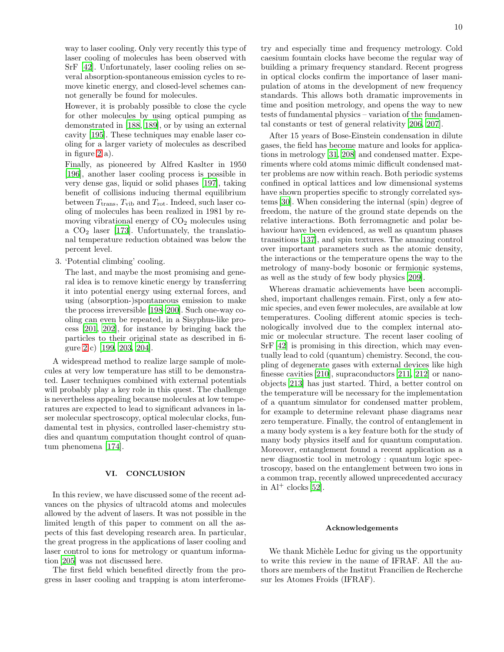way to laser cooling. Only very recently this type of laser cooling of molecules has been observed with SrF [\[42\]](#page-10-41). Unfortunately, laser cooling relies on several absorption-spontaneous emission cycles to remove kinetic energy, and closed-level schemes cannot generally be found for molecules.

However, it is probably possible to close the cycle for other molecules by using optical pumping as demonstrated in [\[188](#page-12-1), [189\]](#page-12-2), or by using an external cavity [\[195\]](#page-12-8). These techniques may enable laser cooling for a larger variety of molecules as described in figure [2](#page-8-1) a).

Finally, as pioneered by Alfred Kaslter in 1950 [\[196\]](#page-12-9), another laser cooling process is possible in very dense gas, liquid or solid phases [197], taking benefit of collisions inducing thermal equilibrium between  $T_{trans}$ ,  $T_{vib}$  and  $T_{rot}$ . Indeed, such laser cooling of molecules has been realized in 1981 by removing vibrational energy of  $CO<sub>2</sub>$  molecules using a  $CO<sub>2</sub>$  laser [\[173](#page-11-43)]. Unfortunately, the translational temperature reduction obtained was below the percent level.

3. 'Potential climbing' cooling.

The last, and maybe the most promising and general idea is to remove kinetic energy by transferring it into potential energy using external forces, and using (absorption-)spontaneous emission to make the process irreversible [\[198](#page-12-10)[–200](#page-12-11)]. Such one-way cooling can even be repeated, in a Sisyphus-like process [\[201,](#page-12-12) [202\]](#page-12-13), for instance by bringing back the particles to their original state as described in figure [2](#page-8-1) c) [\[199,](#page-12-14) [203,](#page-12-15) [204\]](#page-12-16).

A widespread method to realize large sample of molecules at very low temperature has still to be demonstrated. Laser techniques combined with external potentials will probably play a key role in this quest. The challenge is nevertheless appealing because molecules at low temperatures are expected to lead to significant advances in laser molecular spectroscopy, optical molecular clocks, fundamental test in physics, controlled laser-chemistry studies and quantum computation thought control of quantum phenomena [\[174](#page-11-44)].

## VI. CONCLUSION

In this review, we have discussed some of the recent advances on the physics of ultracold atoms and molecules allowed by the advent of lasers. It was not possible in the limited length of this paper to comment on all the aspects of this fast developing research area. In particular, the great progress in the applications of laser cooling and laser control to ions for metrology or quantum information [\[205\]](#page-12-17) was not discussed here.

The first field which benefited directly from the progress in laser cooling and trapping is atom interferometry and especially time and frequency metrology. Cold caesium fountain clocks have become the regular way of building a primary frequency standard. Recent progress in optical clocks confirm the importance of laser manipulation of atoms in the development of new frequency standards. This allows both dramatic improvements in time and position metrology, and opens the way to new tests of fundamental physics – variation of the fundamental constants or test of general relativity [\[206,](#page-12-18) [207\]](#page-12-19).

After 15 years of Bose-Einstein condensation in dilute gases, the field has become mature and looks for applications in metrology [\[31,](#page-10-30) [208](#page-12-20)] and condensed matter. Experiments where cold atoms mimic difficult condensed matter problems are now within reach. Both periodic systems confined in optical lattices and low dimensional systems have shown properties specific to strongly correlated systems [\[30\]](#page-10-29). When considering the internal (spin) degree of freedom, the nature of the ground state depends on the relative interactions. Both ferromagnetic and polar behaviour have been evidenced, as well as quantum phases transitions [\[137\]](#page-11-12), and spin textures. The amazing control over important parameters such as the atomic density, the interactions or the temperature opens the way to the metrology of many-body bosonic or fermionic systems, as well as the study of few body physics [\[209](#page-12-21)].

Whereas dramatic achievements have been accomplished, important challenges remain. First, only a few atomic species, and even fewer molecules, are available at low temperatures. Cooling different atomic species is technologically involved due to the complex internal atomic or molecular structure. The recent laser cooling of SrF [\[42](#page-10-41)] is promising in this direction, which may eventually lead to cold (quantum) chemistry. Second, the coupling of degenerate gases with external devices like high finesse cavities [\[210\]](#page-12-22), supraconductors[\[211,](#page-12-23) [212\]](#page-12-24) or nanoobjects [\[213](#page-12-25)] has just started. Third, a better control on the temperature will be necessary for the implementation of a quantum simulator for condensed matter problem, for example to determine relevant phase diagrams near zero temperature. Finally, the control of entanglement in a many body system is a key feature both for the study of many body physics itself and for quantum computation. Moreover, entanglement found a recent application as a new diagnostic tool in metrology : quantum logic spectroscopy, based on the entanglement between two ions in a common trap, recently allowed unprecedented accuracy in  $Al^+$  clocks [\[52](#page-10-51)].

### Acknowledgements

We thank Michèle Leduc for giving us the opportunity to write this review in the name of IFRAF. All the authors are members of the Institut Francilien de Recherche sur les Atomes Froids (IFRAF).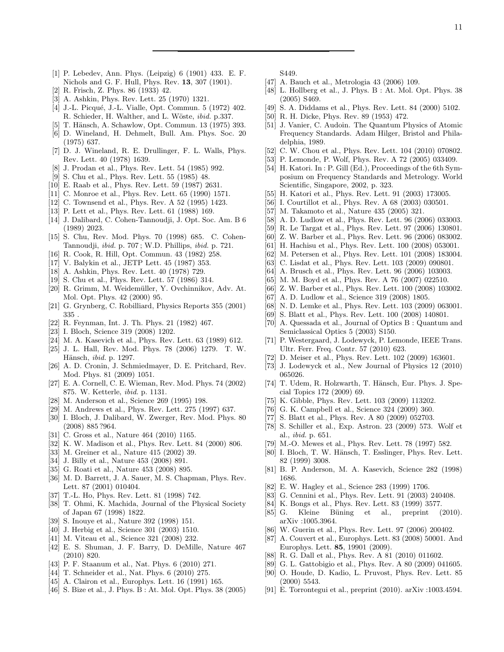- <span id="page-10-0"></span>[1] P. Lebedev, Ann. Phys. (Leipzig) 6 (1901) 433. E. F. Nichols and G. F. Hull, Phys. Rev. 13, 307 (1901).
- <span id="page-10-1"></span>[2] R. Frisch, Z. Phys. 86 (1933) 42.
- <span id="page-10-2"></span>[3] A. Ashkin, Phys. Rev. Lett. 25 (1970) 1321.
- <span id="page-10-3"></span>[4] J.-L. Picqué, J.-L. Vialle, Opt. Commun. 5 (1972) 402. R. Schieder, H. Walther, and L. Wöste, *ibid.* p.337.
- <span id="page-10-4"></span>[5] T. Hänsch, A. Schawlow, Opt. Commun. 13 (1975) 393.
- <span id="page-10-5"></span>[6] D. Wineland, H. Dehmelt, Bull. Am. Phys. Soc. 20 (1975) 637.
- <span id="page-10-6"></span>[7] D. J. Wineland, R. E. Drullinger, F. L. Walls, Phys. Rev. Lett. 40 (1978) 1639.
- <span id="page-10-7"></span>[8] J. Prodan et al., Phys. Rev. Lett. 54 (1985) 992.
- <span id="page-10-8"></span>[9] S. Chu et al., Phys. Rev. Lett. 55 (1985) 48.
- <span id="page-10-9"></span>[10] E. Raab et al., Phys. Rev. Lett. 59 (1987) 2631.
- <span id="page-10-10"></span>[11] C. Monroe et al., Phys. Rev. Lett. 65 (1990) 1571.
- <span id="page-10-11"></span>[12] C. Townsend et al., Phys. Rev. A 52 (1995) 1423.
- <span id="page-10-12"></span>[13] P. Lett et al., Phys. Rev. Lett. 61 (1988) 169.
- <span id="page-10-13"></span>[14] J. Dalibard, C. Cohen-Tannoudji, J. Opt. Soc. Am. B 6 (1989) 2023.
- <span id="page-10-14"></span>[15] S. Chu, Rev. Mod. Phys. 70 (1998) 685. C. Cohen-Tannoudji, ibid. p. 707 ; W.D. Phillips, ibid. p. 721.
- <span id="page-10-15"></span>[16] R. Cook, R. Hill, Opt. Commun. 43 (1982) 258.
- <span id="page-10-16"></span>[17] V. Balykin et al., JETP Lett. 45 (1987) 353.
- <span id="page-10-17"></span>[18] A. Ashkin, Phys. Rev. Lett. 40 (1978) 729.
- <span id="page-10-18"></span>[19] S. Chu et al., Phys. Rev. Lett. 57 (1986) 314.
- <span id="page-10-19"></span>[20] R. Grimm, M. Weidemüller, Y. Ovchinnikov, Adv. At. Mol. Opt. Phys. 42 (2000) 95.
- <span id="page-10-20"></span>[21] G. Grynberg, C. Robilliard, Physics Reports 355 (2001) 335 .
- <span id="page-10-21"></span>[22] R. Feynman, Int. J. Th. Phys. 21 (1982) 467.
- <span id="page-10-22"></span>[23] I. Bloch, Science 319 (2008) 1202.
- <span id="page-10-23"></span>[24] M. A. Kasevich et al., Phys. Rev. Lett. 63 (1989) 612.
- <span id="page-10-24"></span>[25] J. L. Hall, Rev. Mod. Phys. 78 (2006) 1279. T. W. Hänsch, *ibid.* p. 1297.
- <span id="page-10-25"></span>[26] A. D. Cronin, J. Schmiedmayer, D. E. Pritchard, Rev. Mod. Phys. 81 (2009) 1051.
- <span id="page-10-26"></span>[27] E. A. Cornell, C. E. Wieman, Rev. Mod. Phys. 74 (2002) 875. W. Ketterle, ibid. p. 1131.
- <span id="page-10-27"></span>[28] M. Anderson et al., Science 269 (1995) 198.
- <span id="page-10-28"></span>[29] M. Andrews et al., Phys. Rev. Lett. 275 (1997) 637.
- <span id="page-10-29"></span>[30] I. Bloch, J. Dalibard, W. Zwerger, Rev. Mod. Phys. 80 (2008) 885 ?964.
- <span id="page-10-30"></span>[31] C. Gross et al., Nature 464 (2010) 1165.
- <span id="page-10-31"></span>[32] K. W. Madison et al., Phys. Rev. Lett. 84 (2000) 806.
- <span id="page-10-32"></span>[33] M. Greiner et al., Nature 415 (2002) 39.
- <span id="page-10-33"></span>[34] J. Billy et al., Nature 453 (2008) 891.
- <span id="page-10-34"></span>[35] G. Roati et al., Nature 453 (2008) 895.
- <span id="page-10-35"></span>[36] M. D. Barrett, J. A. Sauer, M. S. Chapman, Phys. Rev. Lett. 87 (2001) 010404.
- <span id="page-10-36"></span>[37] T.-L. Ho, Phys. Rev. Lett. 81 (1998) 742.
- <span id="page-10-37"></span>[38] T. Ohmi, K. Machida, Journal of the Physical Society of Japan 67 (1998) 1822.
- <span id="page-10-38"></span>[39] S. Inouye et al., Nature 392 (1998) 151.
- <span id="page-10-39"></span>[40] J. Herbig et al., Science 301 (2003) 1510.
- <span id="page-10-40"></span>[41] M. Viteau et al., Science 321 (2008) 232.
- <span id="page-10-41"></span>[42] E. S. Shuman, J. F. Barry, D. DeMille, Nature 467 (2010) 820.
- <span id="page-10-42"></span>[43] P. F. Staanum et al., Nat. Phys. 6 (2010) 271.
- <span id="page-10-43"></span>[44] T. Schneider et al., Nat. Phys. 6 (2010) 275.
- <span id="page-10-44"></span>[45] A. Clairon et al., Europhys. Lett. 16 (1991) 165.
- <span id="page-10-45"></span>[46] S. Bize et al., J. Phys. B : At. Mol. Opt. Phys. 38 (2005)

S449.

- <span id="page-10-46"></span>[47] A. Bauch et al., Metrologia 43 (2006) 109.
- <span id="page-10-47"></span>[48] L. Hollberg et al., J. Phys. B : At. Mol. Opt. Phys. 38 (2005) S469.
- <span id="page-10-48"></span>[49] S. A. Diddams et al., Phys. Rev. Lett. 84 (2000) 5102.
- <span id="page-10-49"></span>[50] R. H. Dicke, Phys. Rev. 89 (1953) 472.
- <span id="page-10-50"></span>[51] J. Vanier, C. Audoin. The Quantum Physics of Atomic Frequency Standards. Adam Hilger, Bristol and Philadelphia, 1989.
- <span id="page-10-51"></span>[52] C. W. Chou et al., Phys. Rev. Lett. 104 (2010) 070802.
- <span id="page-10-52"></span>[53] P. Lemonde, P. Wolf, Phys. Rev. A 72 (2005) 033409.
- <span id="page-10-53"></span>[54] H. Katori. In : P. Gill (Ed.), Proceedings of the 6th Symposium on Frequency Standards and Metrology. World Scientific, Singapore, 2002, p. 323.
- <span id="page-10-54"></span>[55] H. Katori et al., Phys. Rev. Lett. 91 (2003) 173005.
- <span id="page-10-55"></span>[56] I. Courtillot et al., Phys. Rev. A 68 (2003) 030501.
- <span id="page-10-56"></span>[57] M. Takamoto et al., Nature 435 (2005) 321.
- [58] A. D. Ludlow et al., Phys. Rev. Lett. 96 (2006) 033003.
- [59] R. Le Targat et al., Phys. Rev. Lett. 97 (2006) 130801.
- [60] Z. W. Barber et al., Phys. Rev. Lett. 96 (2006) 083002.
- [61] H. Hachisu et al., Phys. Rev. Lett. 100 (2008) 053001.
- [62] M. Petersen et al., Phys. Rev. Lett. 101 (2008) 183004.
- <span id="page-10-57"></span>[63] C. Lisdat et al., Phys. Rev. Lett. 103 (2009) 090801.
- <span id="page-10-58"></span>[64] A. Brusch et al., Phys. Rev. Lett. 96 (2006) 103003.
- [65] M. M. Boyd et al., Phys. Rev. A 76 (2007) 022510.
- <span id="page-10-59"></span>[66] Z. W. Barber et al., Phys. Rev. Lett. 100 (2008) 103002.
- <span id="page-10-60"></span>[67] A. D. Ludlow et al., Science 319 (2008) 1805.
- <span id="page-10-61"></span>[68] N. D. Lemke et al., Phys. Rev. Lett. 103 (2009) 063001.
- <span id="page-10-62"></span>[69] S. Blatt et al., Phys. Rev. Lett. 100 (2008) 140801.
- <span id="page-10-63"></span>[70] A. Quessada et al., Journal of Optics B : Quantum and Semiclassical Optics 5 (2003) S150.
- <span id="page-10-64"></span>[71] P. Westergaard, J. Lodewyck, P. Lemonde, IEEE Trans. Ultr. Ferr. Freq. Contr. 57 (2010) 623.
- [72] D. Meiser et al., Phys. Rev. Lett. 102 (2009) 163601.
- <span id="page-10-65"></span>[73] J. Lodewyck et al., New Journal of Physics 12 (2010) 065026.
- <span id="page-10-66"></span>[74] T. Udem, R. Holzwarth, T. Hänsch, Eur. Phys. J. Special Topics 172 (2009) 69.
- <span id="page-10-67"></span>[75] K. Gibble, Phys. Rev. Lett. 103 (2009) 113202.
- [76] G. K. Campbell et al., Science 324 (2009) 360.
- <span id="page-10-68"></span>[77] S. Blatt et al., Phys. Rev. A 80 (2009) 052703.
- <span id="page-10-69"></span>[78] S. Schiller et al., Exp. Astron. 23 (2009) 573. Wolf et al., ibid. p. 651.
- [79] M.-O. Mewes et al., Phys. Rev. Lett. 78 (1997) 582.
- [80] I. Bloch, T. W. Hänsch, T. Esslinger, Phys. Rev. Lett. 82 (1999) 3008.
- [81] B. P. Anderson, M. A. Kasevich, Science 282 (1998) 1686.
- [82] E. W. Hagley et al., Science 283 (1999) 1706.
- [83] G. Cennini et al., Phys. Rev. Lett. 91 (2003) 240408.
- <span id="page-10-70"></span>[84] K. Bongs et al., Phys. Rev. Lett. 83 (1999) 3577.
- [85] G. Kleine Büning et al., preprint (2010). arXiv :1005.3964.
- [86] W. Guerin et al., Phys. Rev. Lett. 97 (2006) 200402.
- [87] A. Couvert et al., Europhys. Lett. 83 (2008) 50001. And Europhys. Lett. 85, 19901 (2009).
- [88] R. G. Dall et al., Phys. Rev. A 81 (2010) 011602.
- [89] G. L. Gattobigio et al., Phys. Rev. A 80 (2009) 041605.
- [90] O. Houde, D. Kadio, L. Pruvost, Phys. Rev. Lett. 85 (2000) 5543.
- [91] E. Torrontegui et al., preprint (2010). arXiv :1003.4594.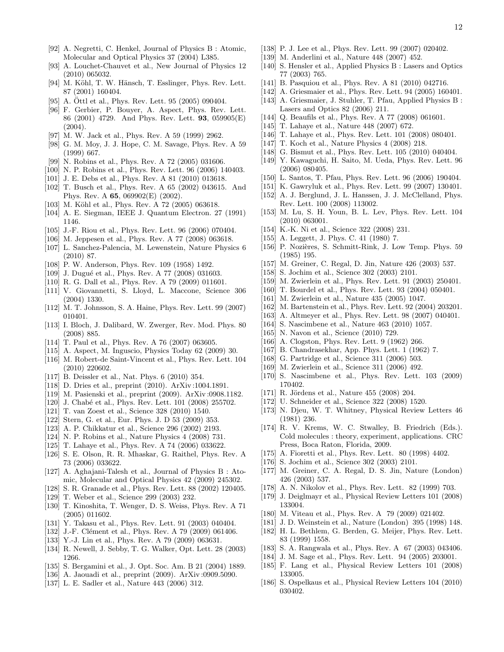- <span id="page-11-0"></span>[92] A. Negretti, C. Henkel, Journal of Physics B : Atomic, Molecular and Optical Physics 37 (2004) L385.
- <span id="page-11-1"></span>[93] A. Louchet-Chauvet et al., New Journal of Physics 12 (2010) 065032.
- [94] M. Köhl, T. W. Hänsch, T. Esslinger, Phys. Rev. Lett. 87 (2001) 160404.
- [95] A. Ottl et al., Phys. Rev. Lett. 95  $(2005)$  090404.
- [96] F. Gerbier, P. Bouyer, A. Aspect, Phys. Rev. Lett. 86 (2001) 4729. And Phys. Rev. Lett. 93, 059905(E) (2004).
- [97] M. W. Jack et al., Phys. Rev. A 59 (1999) 2962.
- [98] G. M. Moy, J. J. Hope, C. M. Savage, Phys. Rev. A 59 (1999) 667.
- [99] N. Robins et al., Phys. Rev. A 72 (2005) 031606.
- [100] N. P. Robins et al., Phys. Rev. Lett. 96 (2006) 140403.
- [101] J. E. Debs et al., Phys. Rev. A 81 (2010) 013618.
- [102] T. Busch et al., Phys. Rev. A 65 (2002) 043615. And Phys. Rev. A 65, 069902(E) (2002).
- [103] M. Köhl et al., Phys. Rev. A 72 (2005) 063618.
- [104] A. E. Siegman, IEEE J. Quantum Electron. 27 (1991) 1146.
- [105] J.-F. Riou et al., Phys. Rev. Lett. 96 (2006) 070404.
- [106] M. Jeppesen et al., Phys. Rev. A 77 (2008) 063618.
- [107] L. Sanchez-Palencia, M. Lewenstein, Nature Physics 6 (2010) 87.
- [108] P. W. Anderson, Phys. Rev. 109 (1958) 1492.
- [109] J. Dugué et al., Phys. Rev. A 77 (2008) 031603.
- [110] R. G. Dall et al., Phys. Rev. A 79 (2009) 011601.
- [111] V. Giovannetti, S. Lloyd, L. Maccone, Science 306 (2004) 1330.
- [112] M. T. Johnsson, S. A. Haine, Phys. Rev. Lett. 99 (2007) 010401.
- [113] I. Bloch, J. Dalibard, W. Zwerger, Rev. Mod. Phys. 80 (2008) 885.
- [114] T. Paul et al., Phys. Rev. A 76 (2007) 063605.
- [115] A. Aspect, M. Inguscio, Physics Today 62 (2009) 30.
- [116] M. Robert-de Saint-Vincent et al., Phys. Rev. Lett. 104 (2010) 220602.
- [117] B. Deissler et al., Nat. Phys. 6 (2010) 354.
- [118] D. Dries et al., preprint (2010). ArXiv:1004.1891.
- [119] M. Pasienski et al., preprint (2009). ArXiv :0908.1182.
- <span id="page-11-2"></span>[120] J. Chabé et al., Phys. Rev. Lett. 101 (2008) 255702.
- [121] T. van Zoest et al., Science 328 (2010) 1540.
- [122] Stern, G. et al., Eur. Phys. J. D 53 (2009) 353.
- [123] A. P. Chikkatur et al., Science 296 (2002) 2193.
- [124] N. P. Robins et al., Nature Physics 4 (2008) 731.
- [125] T. Lahaye et al., Phys. Rev. A 74 (2006) 033622.
- [126] S. E. Olson, R. R. Mhaskar, G. Raithel, Phys. Rev. A 73 (2006) 033622.
- [127] A. Aghajani-Talesh et al., Journal of Physics B : Atomic, Molecular and Optical Physics 42 (2009) 245302.
- <span id="page-11-3"></span>[128] S. R. Granade et al., Phys. Rev. Lett. 88 (2002) 120405.
- <span id="page-11-4"></span>[129] T. Weber et al., Science 299 (2003) 232.
- <span id="page-11-5"></span>[130] T. Kinoshita, T. Wenger, D. S. Weiss, Phys. Rev. A 71 (2005) 011602.
- <span id="page-11-6"></span>[131] Y. Takasu et al., Phys. Rev. Lett. 91 (2003) 040404.
- <span id="page-11-7"></span>[132] J.-F. Clément et al., Phys. Rev. A 79 (2009) 061406.
- <span id="page-11-8"></span>[133] Y.-J. Lin et al., Phys. Rev. A 79 (2009) 063631.
- <span id="page-11-9"></span>[134] R. Newell, J. Sebby, T. G. Walker, Opt. Lett. 28 (2003) 1266.
- <span id="page-11-10"></span>[135] S. Bergamini et al., J. Opt. Soc. Am. B 21 (2004) 1889.
- <span id="page-11-11"></span>[136] A. Jaouadi et al., preprint (2009). ArXiv :0909.5090.
- <span id="page-11-12"></span>[137] L. E. Sadler et al., Nature 443 (2006) 312.
- <span id="page-11-13"></span>[138] P. J. Lee et al., Phys. Rev. Lett. 99 (2007) 020402.
- <span id="page-11-14"></span>[139] M. Anderlini et al., Nature 448 (2007) 452.
- <span id="page-11-15"></span>[140] S. Hensler et al., Applied Physics B : Lasers and Optics 77 (2003) 765.
- <span id="page-11-16"></span>[141] B. Pasquiou et al., Phys. Rev. A 81 (2010) 042716.
- <span id="page-11-17"></span>[142] A. Griesmaier et al., Phys. Rev. Lett. 94 (2005) 160401. [143] A. Griesmaier, J. Stuhler, T. Pfau, Applied Physics B:
- Lasers and Optics 82 (2006) 211.
- <span id="page-11-18"></span>[144] Q. Beaufils et al., Phys. Rev. A 77 (2008) 061601.
- <span id="page-11-19"></span>[145] T. Lahaye et al., Nature 448 (2007) 672.
- <span id="page-11-20"></span>[146] T. Lahaye et al., Phys. Rev. Lett. 101 (2008) 080401.
- <span id="page-11-21"></span>[147] T. Koch et al., Nature Physics 4 (2008) 218.
- <span id="page-11-22"></span>[148] G. Bismut et al., Phys. Rev. Lett. 105 (2010) 040404.
- <span id="page-11-23"></span>[149] Y. Kawaguchi, H. Saito, M. Ueda, Phys. Rev. Lett. 96 (2006) 080405.
- [150] L. Santos, T. Pfau, Phys. Rev. Lett. 96 (2006) 190404.
- <span id="page-11-24"></span>[151] K. Gawryluk et al., Phys. Rev. Lett. 99 (2007) 130401.
- <span id="page-11-25"></span>[152] A. J. Berglund, J. L. Hanssen, J. J. McClelland, Phys. Rev. Lett. 100 (2008) 113002.
- <span id="page-11-26"></span>[153] M. Lu, S. H. Youn, B. L. Lev, Phys. Rev. Lett. 104 (2010) 063001.
- <span id="page-11-27"></span>[154] K.-K. Ni et al., Science 322 (2008) 231.
- <span id="page-11-28"></span>[155] A. Leggett, J. Phys. C. 41 (1980) 7.
- <span id="page-11-29"></span>[156] P. Nozières, S. Schmitt-Rink, J. Low Temp. Phys. 59 (1985) 195.
- <span id="page-11-30"></span>[157] M. Greiner, C. Regal, D. Jin, Nature 426 (2003) 537.
- [158] S. Jochim et al., Science 302 (2003) 2101.
- [159] M. Zwierlein et al., Phys. Rev. Lett. 91 (2003) 250401.
- <span id="page-11-31"></span>[160] T. Bourdel et al., Phys. Rev. Lett. 93 (2004) 050401.
- <span id="page-11-32"></span>[161] M. Zwierlein et al., Nature 435 (2005) 1047.
- <span id="page-11-33"></span>[162] M. Bartenstein et al., Phys. Rev. Lett. 92 (2004) 203201.
- <span id="page-11-34"></span>[163] A. Altmeyer et al., Phys. Rev. Lett. 98 (2007) 040401.
- <span id="page-11-35"></span>[164] S. Nascimbene et al., Nature 463 (2010) 1057.
- <span id="page-11-36"></span>[165] N. Navon et al., Science (2010) 729.
- <span id="page-11-37"></span>[166] A. Clogston, Phys. Rev. Lett. 9 (1962) 266.
- <span id="page-11-38"></span>[167] B. Chandrasekhar, App. Phys. Lett. 1 (1962) 7.
- <span id="page-11-39"></span>[168] G. Partridge et al., Science 311 (2006) 503.
- [169] M. Zwierlein et al., Science 311 (2006) 492.
- <span id="page-11-40"></span>[170] S. Nascimbene et al., Phys. Rev. Lett. 103 (2009) 170402.
- <span id="page-11-41"></span>[171] R. Jördens et al., Nature 455 (2008) 204.
- <span id="page-11-42"></span>[172] U. Schneider et al., Science 322 (2008) 1520.
- <span id="page-11-43"></span>[173] N. Djeu, W. T. Whitney, Physical Review Letters 46 (1981) 236.
- <span id="page-11-44"></span>[174] R. V. Krems, W. C. Stwalley, B. Friedrich (Eds.). Cold molecules : theory, experiment, applications. CRC Press, Boca Raton, Florida, 2009.
- <span id="page-11-45"></span>[175] A. Fioretti et al., Phys. Rev. Lett. 80 (1998) 4402.
- [176] S. Jochim et al., Science 302 (2003) 2101.
- <span id="page-11-46"></span>[177] M. Greiner, C. A. Regal, D. S. Jin, Nature (London) 426 (2003) 537.
- <span id="page-11-47"></span>[178] A. N. Nikolov et al., Phys. Rev. Lett. 82 (1999) 703.
- [179] J. Deiglmayr et al., Physical Review Letters 101 (2008) 133004.
- <span id="page-11-48"></span>[180] M. Viteau et al., Phys. Rev. A 79 (2009) 021402.
- <span id="page-11-49"></span>[181] J. D. Weinstein et al., Nature (London) 395 (1998) 148.
- <span id="page-11-50"></span>[182] H. L. Bethlem, G. Berden, G. Meijer, Phys. Rev. Lett. 83 (1999) 1558.
- <span id="page-11-51"></span>[183] S. A. Rangwala et al., Phys. Rev. A 67 (2003) 043406.
- <span id="page-11-52"></span>[184] J. M. Sage et al., Phys. Rev. Lett. 94 (2005) 203001.
- [185] F. Lang et al., Physical Review Letters 101 (2008) 133005.
- [186] S. Ospelkaus et al., Physical Review Letters 104 (2010) 030402.